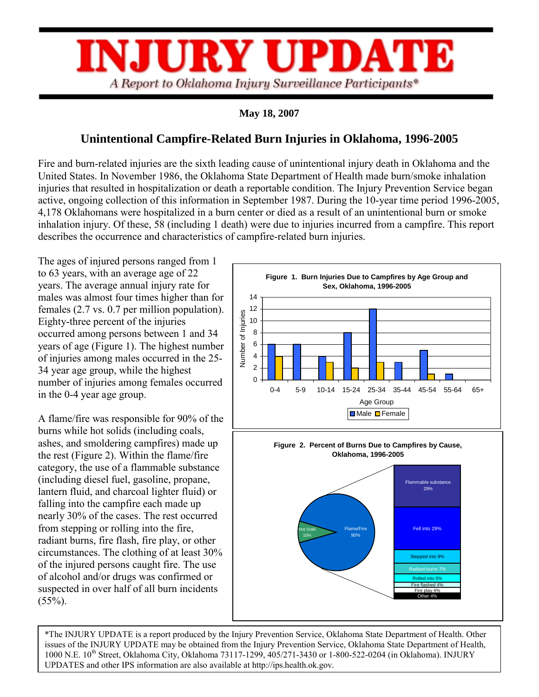

## **May 18, 2007**

## **Unintentional Campfire-Related Burn Injuries in Oklahoma, 1996-2005**

Fire and burn-related injuries are the sixth leading cause of unintentional injury death in Oklahoma and the United States. In November 1986, the Oklahoma State Department of Health made burn/smoke inhalation injuries that resulted in hospitalization or death a reportable condition. The Injury Prevention Service began active, ongoing collection of this information in September 1987. During the 10-year time period 1996-2005, 4,178 Oklahomans were hospitalized in a burn center or died as a result of an unintentional burn or smoke inhalation injury. Of these, 58 (including 1 death) were due to injuries incurred from a campfire. This report describes the occurrence and characteristics of campfire-related burn injuries.

The ages of injured persons ranged from 1 to 63 years, with an average age of 22 years. The average annual injury rate for males was almost four times higher than for females (2.7 vs. 0.7 per million population). Eighty-three percent of the injuries occurred among persons between 1 and 34 years of age (Figure 1). The highest number of injuries among males occurred in the 25- 34 year age group, while the highest number of injuries among females occurred in the 0-4 year age group.

A flame/fire was responsible for 90% of the burns while hot solids (including coals, ashes, and smoldering campfires) made up the rest (Figure 2). Within the flame/fire category, the use of a flammable substance (including diesel fuel, gasoline, propane, lantern fluid, and charcoal lighter fluid) or falling into the campfire each made up nearly 30% of the cases. The rest occurred from stepping or rolling into the fire, radiant burns, fire flash, fire play, or other circumstances. The clothing of at least 30% of the injured persons caught fire. The use of alcohol and/or drugs was confirmed or suspected in over half of all burn incidents  $(55\%)$ .





\*The INJURY UPDATE is a report produced by the Injury Prevention Service, Oklahoma State Department of Health. Other issues of the INJURY UPDATE may be obtained from the Injury Prevention Service, Oklahoma State Department of Health, 1000 N.E. 10th Street, Oklahoma City, Oklahoma 73117-1299, 405/271-3430 or 1-800-522-0204 (in Oklahoma). INJURY UPDATES and other IPS information are also available at http://ips.health.ok.gov.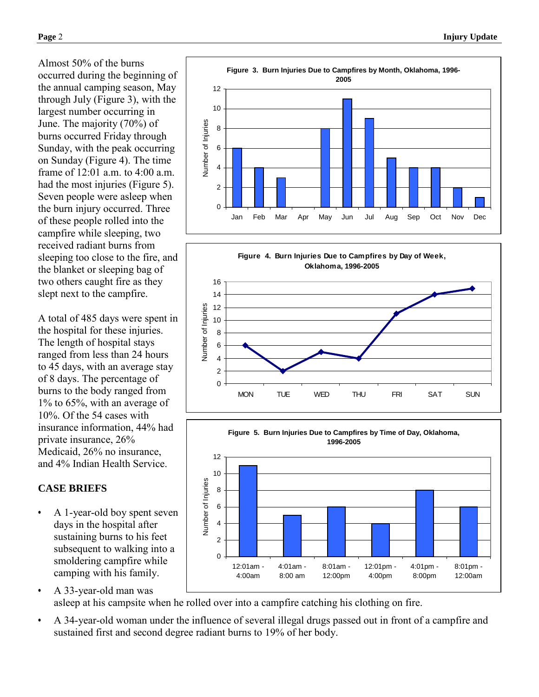Almost 50% of the burns occurred during the beginning of the annual camping season, May through July (Figure 3), with the largest number occurring in June. The majority (70%) of burns occurred Friday through Sunday, with the peak occurring on Sunday (Figure 4). The time frame of  $12:01$  a.m. to  $4:00$  a.m. had the most injuries (Figure 5). Seven people were asleep when the burn injury occurred. Three of these people rolled into the campfire while sleeping, two received radiant burns from sleeping too close to the fire, and the blanket or sleeping bag of two others caught fire as they slept next to the campfire.

A total of 485 days were spent in the hospital for these injuries. The length of hospital stays ranged from less than 24 hours to 45 days, with an average stay of 8 days. The percentage of burns to the body ranged from 1% to 65%, with an average of 10%. Of the 54 cases with insurance information, 44% had private insurance, 26% Medicaid, 26% no insurance, and 4% Indian Health Service.

## **CASE BRIEFS**

- A 1-year-old boy spent seven days in the hospital after sustaining burns to his feet subsequent to walking into a smoldering campfire while camping with his family.
- A 33-year-old man was asleep at his campsite when he rolled over into a campfire catching his clothing on fire.
- A 34-year-old woman under the influence of several illegal drugs passed out in front of a campfire and sustained first and second degree radiant burns to 19% of her body.